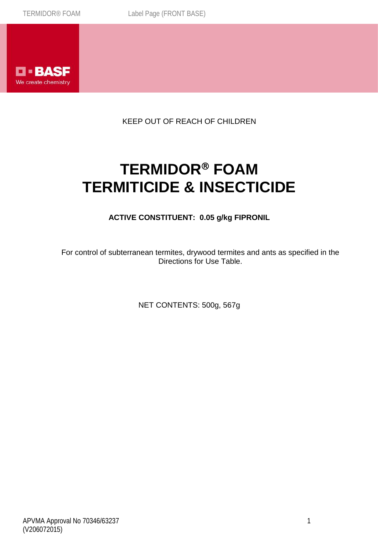

KEEP OUT OF REACH OF CHILDREN

# **TERMIDOR FOAM TERMITICIDE & INSECTICIDE**

# **ACTIVE CONSTITUENT: 0.05 g/kg FIPRONIL**

For control of subterranean termites, drywood termites and ants as specified in the Directions for Use Table.

NET CONTENTS: 500g, 567g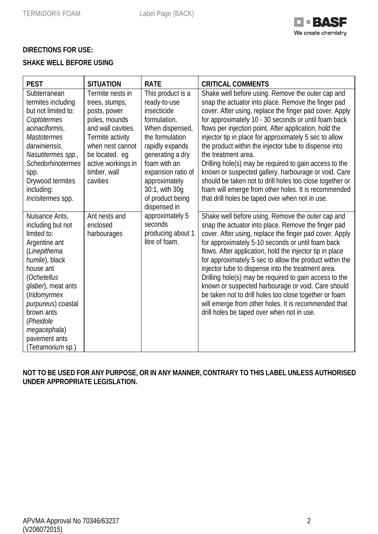

# **DIRECTIONS FOR USE:**

# **SHAKE WELL BEFORE USING**

| <b>PEST</b>                                                                                                                                                                                                                                                                            | <b>SITUATION</b>                                                                                                                                                                                      | <b>RATE</b>                                                                                                                                                                                                                                                                                                                     | <b>CRITICAL COMMENTS</b>                                                                                                                                                                                                                                                                                                                                                                                                                                                                                                                                                                                                                                                                                                 |
|----------------------------------------------------------------------------------------------------------------------------------------------------------------------------------------------------------------------------------------------------------------------------------------|-------------------------------------------------------------------------------------------------------------------------------------------------------------------------------------------------------|---------------------------------------------------------------------------------------------------------------------------------------------------------------------------------------------------------------------------------------------------------------------------------------------------------------------------------|--------------------------------------------------------------------------------------------------------------------------------------------------------------------------------------------------------------------------------------------------------------------------------------------------------------------------------------------------------------------------------------------------------------------------------------------------------------------------------------------------------------------------------------------------------------------------------------------------------------------------------------------------------------------------------------------------------------------------|
| Subterranean<br>termites including<br>but not limited to:<br>Coptotermes<br>acinaciformis,<br><b>Mastotermes</b><br>darwiniensis,<br>Nasutitermes spp.,<br>Schedorhinotermes<br>spp.<br>Drywood termites<br>including:<br>Incisitermes spp.                                            | Termite nests in<br>trees, stumps,<br>posts, power<br>poles, mounds<br>and wall cavities.<br>Termite activity<br>when nest cannot<br>be located. eq<br>active workings in<br>timber, wall<br>cavities | This product is a<br>ready-to-use<br>insecticide<br>formulation.<br>When dispensed,<br>the formulation<br>rapidly expands<br>generating a dry<br>foam with an<br>expansion ratio of<br>approximately<br>30:1, with 30g<br>of product being<br>dispensed in<br>approximately 5<br>seconds<br>producing about 1<br>litre of foam. | Shake well before using. Remove the outer cap and<br>snap the actuator into place. Remove the finger pad<br>cover. After using, replace the finger pad cover. Apply<br>for approximately 10 - 30 seconds or until foam back<br>flows per injection point. After application, hold the<br>injector tip in place for approximately 5 sec to allow<br>the product within the injector tube to dispense into<br>the treatment area.<br>Drilling hole(s) may be required to gain access to the<br>known or suspected gallery, harbourage or void. Care<br>should be taken not to drill holes too close together or<br>foam will emerge from other holes. It is recommended<br>that drill holes be taped over when not in use. |
| Nuisance Ants,<br>including but not<br>limited to:<br>Argentine ant<br>(Linepithema<br>humile), black<br>house ant<br>(Ochetellus<br>glaber), meat ants<br>(Iridomyrmex<br>purpureus) coastal<br>brown ants<br>(Pheidole<br>megacephala)<br>pavement ants<br>( <i>Tetramorium</i> sp.) | Ant nests and<br>enclosed<br>harbourages                                                                                                                                                              |                                                                                                                                                                                                                                                                                                                                 | Shake well before using. Remove the outer cap and<br>snap the actuator into place. Remove the finger pad<br>cover. After using, replace the finger pad cover. Apply<br>for approximately 5-10 seconds or until foam back<br>flows. After application, hold the injector tip in place<br>for approximately 5 sec to allow the product within the<br>injector tube to dispense into the treatment area.<br>Drilling hole(s) may be required to gain access to the<br>known or suspected harbourage or void. Care should<br>be taken not to drill holes too close together or foam<br>will emerge from other holes. It is recommended that<br>drill holes be taped over when not in use.                                    |

## **NOT TO BE USED FOR ANY PURPOSE, OR IN ANY MANNER, CONTRARY TO THIS LABEL UNLESS AUTHORISED UNDER APPROPRIATE LEGISLATION.**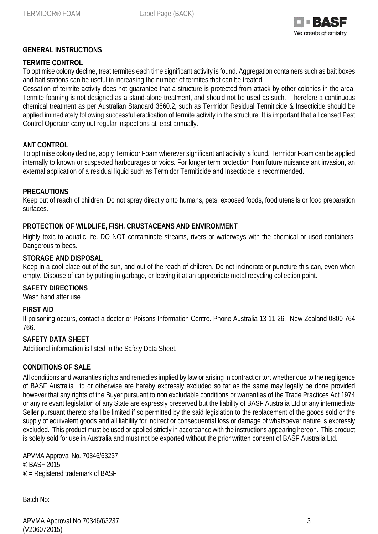

### **GENERAL INSTRUCTIONS**

#### **TERMITE CONTROL**

To optimise colony decline, treat termites each time significant activity is found. Aggregation containers such as bait boxes and bait stations can be useful in increasing the number of termites that can be treated.

Cessation of termite activity does not guarantee that a structure is protected from attack by other colonies in the area. Termite foaming is not designed as a stand-alone treatment, and should not be used as such. Therefore a continuous chemical treatment as per Australian Standard 3660.2, such as Termidor Residual Termiticide & Insecticide should be applied immediately following successful eradication of termite activity in the structure. It is important that a licensed Pest Control Operator carry out regular inspections at least annually.

#### **ANT CONTROL**

To optimise colony decline, apply Termidor Foam wherever significant ant activity is found. Termidor Foam can be applied internally to known or suspected harbourages or voids. For longer term protection from future nuisance ant invasion, an external application of a residual liquid such as Termidor Termiticide and Insecticide is recommended.

#### **PRECAUTIONS**

Keep out of reach of children. Do not spray directly onto humans, pets, exposed foods, food utensils or food preparation surfaces.

#### **PROTECTION OF WILDLIFE, FISH, CRUSTACEANS AND ENVIRONMENT**

Highly toxic to aquatic life. DO NOT contaminate streams, rivers or waterways with the chemical or used containers. Dangerous to bees.

#### **STORAGE AND DISPOSAL**

Keep in a cool place out of the sun, and out of the reach of children. Do not incinerate or puncture this can, even when empty. Dispose of can by putting in garbage, or leaving it at an appropriate metal recycling collection point.

#### **SAFETY DIRECTIONS**

Wash hand after use

#### **FIRST AID**

If poisoning occurs, contact a doctor or Poisons Information Centre. Phone Australia 13 11 26. New Zealand 0800 764 766.

#### **SAFETY DATA SHEET**

Additional information is listed in the Safety Data Sheet.

#### **CONDITIONS OF SALE**

All conditions and warranties rights and remedies implied by law or arising in contract or tort whether due to the negligence of BASF Australia Ltd or otherwise are hereby expressly excluded so far as the same may legally be done provided however that any rights of the Buyer pursuant to non excludable conditions or warranties of the Trade Practices Act 1974 or any relevant legislation of any State are expressly preserved but the liability of BASF Australia Ltd or any intermediate Seller pursuant thereto shall be limited if so permitted by the said legislation to the replacement of the goods sold or the supply of equivalent goods and all liability for indirect or consequential loss or damage of whatsoever nature is expressly excluded. This product must be used or applied strictly in accordance with the instructions appearing hereon. This product is solely sold for use in Australia and must not be exported without the prior written consent of BASF Australia Ltd.

APVMA Approval No. 70346/63237 © BASF 2015 ® = Registered trademark of BASF

Batch No:

APVMA Approval No 70346/63237 3 (V206072015)